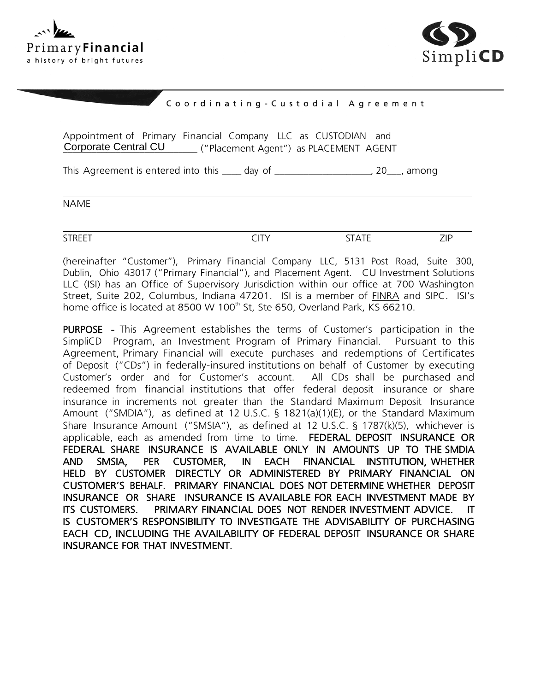



## Coordinating-Custodial Agreement

Appointment of Primary Financial Company LLC as CUSTODIAN and Corporate Central CU \_\_\_\_\_\_\_ ("Placement Agent") as PLACEMENT AGENT

This Agreement is entered into this \_\_\_\_ day of \_\_\_\_\_\_\_\_\_\_\_\_\_\_\_\_\_\_\_\_\_, 20\_\_\_, among

NAME

STREET EXAMPLE CITY STATE STATE STREET

(hereinafter "Customer"), Primary Financial Company LLC, 5131 Post Road, Suite 300, Dublin, Ohio 43017 ("Primary Financial"), and Placement Agent. CU Investment Solutions LLC (ISI) has an Office of Supervisory Jurisdiction within our office at 700 Washington Street, Suite 202, Columbus, Indiana 47201. ISI is a member of FINRA and SIPC. ISI's home office is located at 8500 W 100<sup>th</sup> St, Ste 650, Overland Park, KS 66210.

PURPOSE - This Agreement establishes the terms of Customer's participation in the SimpliCD Program, an Investment Program of Primary Financial. Pursuant to this Agreement, Primary Financial will execute purchases and redemptions of Certificates of Deposit ("CDs") in federally-insured institutions on behalf of Customer by executing Customer's order and for Customer's account. All CDs shall be purchased and redeemed from financial institutions that offer federal deposit insurance or share insurance in increments not greater than the Standard Maximum Deposit Insurance Amount ("SMDIA"), as defined at 12 U.S.C. § 1821(a)(1)(E), or the Standard Maximum Share Insurance Amount ("SMSIA"), as defined at 12 U.S.C. § 1787(k)(5), whichever is applicable, each as amended from time to time. FEDERAL DEPOSIT INSURANCE OR FEDERAL SHARE INSURANCE IS AVAILABLE ONLY IN AMOUNTS UP TO THE SMDIA AND SMSIA, PER CUSTOMER, IN EACH FINANCIAL INSTITUTION, WHETHER HELD BY CUSTOMER DIRECTLY OR ADMINISTERED BY PRIMARY FINANCIAL ON CUSTOMER'S BEHALF. PRIMARY FINANCIAL DOES NOT DETERMINE WHETHER DEPOSIT INSURANCE OR SHARE INSURANCE IS AVAILABLE FOR EACH INVESTMENT MADE BY ITS CUSTOMERS. PRIMARY FINANCIAL DOES NOT RENDER INVESTMENT ADVICE. IT IS CUSTOMER'S RESPONSIBILITY TO INVESTIGATE THE ADVISABILITY OF PURCHASING EACH CD, INCLUDING THE AVAILABILITY OF FEDERAL DEPOSIT INSURANCE OR SHARE INSURANCE FOR THAT INVESTMENT.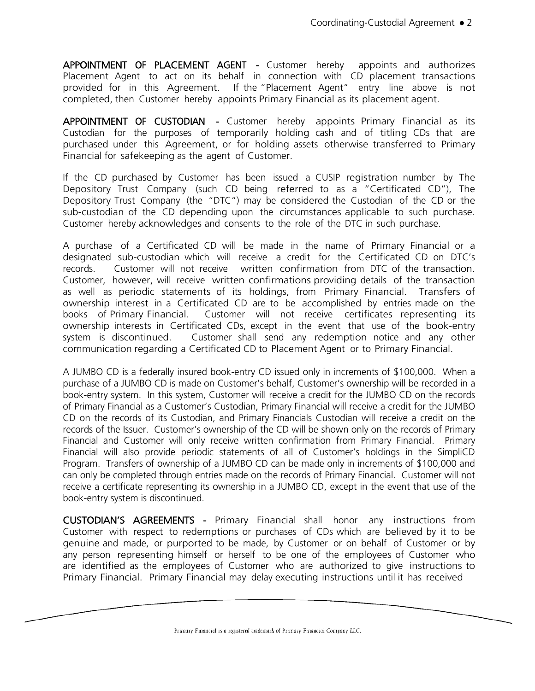APPOINTMENT OF PLACEMENT AGENT - Customer hereby appoints and authorizes Placement Agent to act on its behalf in connection with CD placement transactions provided for in this Agreement. If the "Placement Agent" entry line above is not completed, then Customer hereby appoints Primary Financial as its placement agent.

APPOINTMENT OF CUSTODIAN - Customer hereby appoints Primary Financial as its Custodian for the purposes of temporarily holding cash and of titling CDs that are purchased under this Agreement, or for holding assets otherwise transferred to Primary Financial for safekeeping as the agent of Customer.

If the CD purchased by Customer has been issued a CUSIP registration number by The Depository Trust Company (such CD being referred to as a "Certificated CD"), The Depository Trust Company (the "DTC") may be considered the Custodian of the CD or the sub-custodian of the CD depending upon the circumstances applicable to such purchase. Customer hereby acknowledges and consents to the role of the DTC in such purchase.

A purchase of a Certificated CD will be made in the name of Primary Financial or a designated sub-custodian which will receive a credit for the Certificated CD on DTC's records. Customer will not receive written confirmation from DTC of the transaction. Customer, however, will receive written confirmations providing details of the transaction as well as periodic statements of its holdings, from Primary Financial. Transfers of ownership interest in a Certificated CD are to be accomplished by entries made on the books of Primary Financial. Customer will not receive certificates representing its ownership interests in Certificated CDs, except in the event that use of the book-entry system is discontinued. Customer shall send any redemption notice and any other communication regarding a Certificated CD to Placement Agent or to Primary Financial.

A JUMBO CD is a federally insured book-entry CD issued only in increments of \$100,000. When a purchase of a JUMBO CD is made on Customer's behalf, Customer's ownership will be recorded in a book-entry system. In this system, Customer will receive a credit for the JUMBO CD on the records of Primary Financial as a Customer's Custodian, Primary Financial will receive a credit for the JUMBO CD on the records of its Custodian, and Primary Financials Custodian will receive a credit on the records of the Issuer. Customer's ownership of the CD will be shown only on the records of Primary Financial and Customer will only receive written confirmation from Primary Financial. Primary Financial will also provide periodic statements of all of Customer's holdings in the SimpliCD Program. Transfers of ownership of a JUMBO CD can be made only in increments of \$100,000 and can only be completed through entries made on the records of Primary Financial. Customer will not receive a certificate representing its ownership in a JUMBO CD, except in the event that use of the book-entry system is discontinued.

CUSTODIAN'S AGREEMENTS - Primary Financial shall honor any instructions from Customer with respect to redemptions or purchases of CDs which are believed by it to be genuine and made, or purported to be made, by Customer or on behalf of Customer or by any person representing himself or herself to be one of the employees of Customer who are identified as the employees of Customer who are authorized to give instructions to Primary Financial. Primary Financial may delay executing instructions until it has received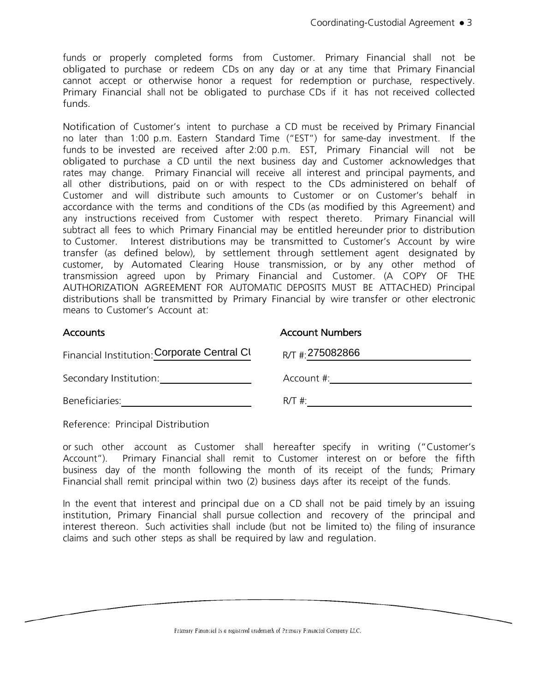funds or properly completed forms from Customer. Primary Financial shall not be obligated to purchase or redeem CDs on any day or at any time that Primary Financial cannot accept or otherwise honor a request for redemption or purchase, respectively. Primary Financial shall not be obligated to purchase CDs if it has not received collected funds.

Notification of Customer's intent to purchase a CD must be received by Primary Financial no later than 1:00 p.m. Eastern Standard Time ("EST") for same-day investment. If the funds to be invested are received after 2:00 p.m. EST, Primary Financial will not be obligated to purchase a CD until the next business day and Customer acknowledges that rates may change. Primary Financial will receive all interest and principal payments, and all other distributions, paid on or with respect to the CDs administered on behalf of Customer and will distribute such amounts to Customer or on Customer's behalf in accordance with the terms and conditions of the CDs (as modified by this Agreement) and any instructions received from Customer with respect thereto. Primary Financial will subtract all fees to which Primary Financial may be entitled hereunder prior to distribution to Customer. Interest distributions may be transmitted to Customer's Account by wire transfer (as defined below), by settlement through settlement agent designated by customer, by Automated Clearing House transmission, or by any other method of transmission agreed upon by Primary Financial and Customer. (A COPY OF THE AUTHORIZATION AGREEMENT FOR AUTOMATIC DEPOSITS MUST BE ATTACHED) Principal distributions shall be transmitted by Primary Financial by wire transfer or other electronic means to Customer's Account at:

Accounts Account Numbers

| Financial Institution: Corporate Central Cl | $R/T$ # 275082866 |
|---------------------------------------------|-------------------|
| Secondary Institution:                      | Account #:        |
| Beneficiaries:                              | $R/T \#$          |

Reference: Principal Distribution

or such other account as Customer shall hereafter specify in writing ("Customer's Account"). Primary Financial shall remit to Customer interest on or before the fifth business day of the month following the month of its receipt of the funds; Primary Financial shall remit principal within two (2) business days after its receipt of the funds.

In the event that interest and principal due on a CD shall not be paid timely by an issuing institution, Primary Financial shall pursue collection and recovery of the principal and interest thereon. Such activities shall include (but not be limited to) the filing of insurance claims and such other steps as shall be required by law and regulation.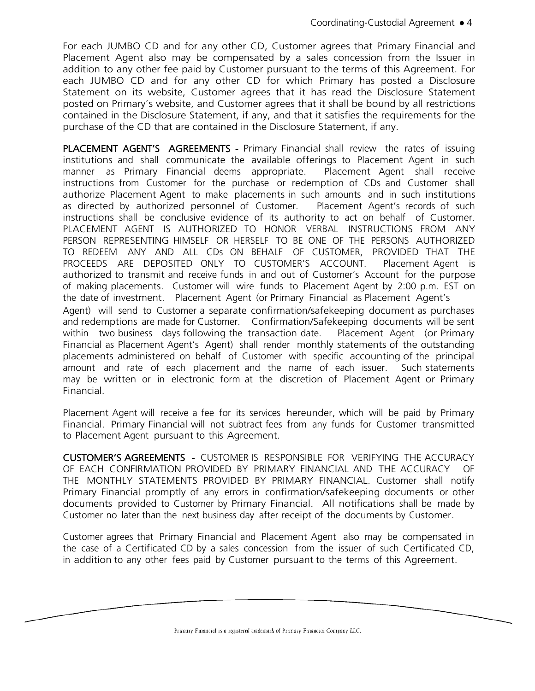For each JUMBO CD and for any other CD, Customer agrees that Primary Financial and Placement Agent also may be compensated by a sales concession from the Issuer in addition to any other fee paid by Customer pursuant to the terms of this Agreement. For each JUMBO CD and for any other CD for which Primary has posted a Disclosure Statement on its website, Customer agrees that it has read the Disclosure Statement posted on Primary's website, and Customer agrees that it shall be bound by all restrictions contained in the Disclosure Statement, if any, and that it satisfies the requirements for the purchase of the CD that are contained in the Disclosure Statement, if any.

PLACEMENT AGENT'S AGREEMENTS - Primary Financial shall review the rates of issuing institutions and shall communicate the available offerings to Placement Agent in such manner as Primary Financial deems appropriate. Placement Agent shall receive instructions from Customer for the purchase or redemption of CDs and Customer shall authorize Placement Agent to make placements in such amounts and in such institutions as directed by authorized personnel of Customer. Placement Agent's records of such instructions shall be conclusive evidence of its authority to act on behalf of Customer. PLACEMENT AGENT IS AUTHORIZED TO HONOR VERBAL INSTRUCTIONS FROM ANY PERSON REPRESENTING HIMSELF OR HERSELF TO BE ONE OF THE PERSONS AUTHORIZED TO REDEEM ANY AND ALL CDs ON BEHALF OF CUSTOMER, PROVIDED THAT THE PROCEEDS ARE DEPOSITED ONLY TO CUSTOMER'S ACCOUNT. Placement Agent is authorized to transmit and receive funds in and out of Customer's Account for the purpose of making placements. Customer will wire funds to Placement Agent by 2:00 p.m. EST on the date of investment. Placement Agent (or Primary Financial as Placement Agent's

Agent) will send to Customer a separate confirmation/safekeeping document as purchases and redemptions are made for Customer. Confirmation/Safekeeping documents will be sent within two business days following the transaction date. Placement Agent (or Primary Financial as Placement Agent's Agent) shall render monthly statements of the outstanding placements administered on behalf of Customer with specific accounting of the principal amount and rate of each placement and the name of each issuer. Such statements may be written or in electronic form at the discretion of Placement Agent or Primary Financial.

Placement Agent will receive a fee for its services hereunder, which will be paid by Primary Financial. Primary Financial will not subtract fees from any funds for Customer transmitted to Placement Agent pursuant to this Agreement.

CUSTOMER'S AGREEMENTS - CUSTOMER IS RESPONSIBLE FOR VERIFYING THE ACCURACY OF EACH CONFIRMATION PROVIDED BY PRIMARY FINANCIAL AND THE ACCURACY OF THE MONTHLY STATEMENTS PROVIDED BY PRIMARY FINANCIAL. Customer shall notify Primary Financial promptly of any errors in confirmation/safekeeping documents or other documents provided to Customer by Primary Financial. All notifications shall be made by Customer no later than the next business day after receipt of the documents by Customer.

Customer agrees that Primary Financial and Placement Agent also may be compensated in the case of a Certificated CD by a sales concession from the issuer of such Certificated CD, in addition to any other fees paid by Customer pursuant to the terms of this Agreement.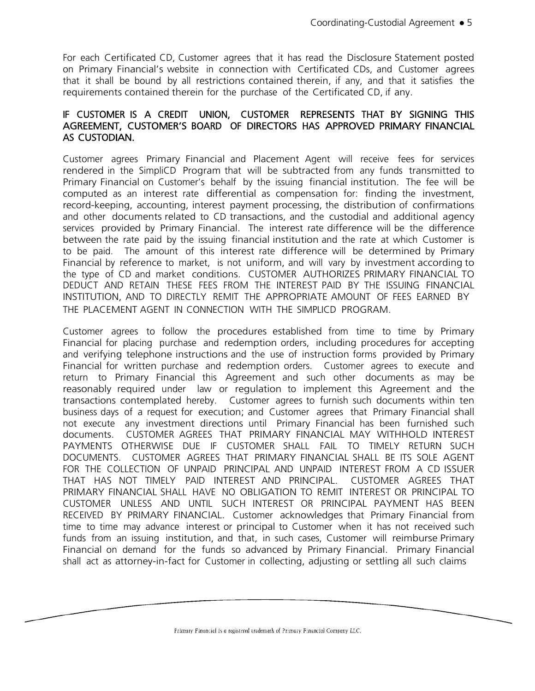For each Certificated CD, Customer agrees that it has read the Disclosure Statement posted on Primary Financial's website in connection with Certificated CDs, and Customer agrees that it shall be bound by all restrictions contained therein, if any, and that it satisfies the requirements contained therein for the purchase of the Certificated CD, if any.

## IF CUSTOMER IS A CREDIT UNION, CUSTOMER REPRESENTS THAT BY SIGNING THIS AGREEMENT, CUSTOMER'S BOARD OF DIRECTORS HAS APPROVED PRIMARY FINANCIAL AS CUSTODIAN.

Customer agrees Primary Financial and Placement Agent will receive fees for services rendered in the SimpliCD Program that will be subtracted from any funds transmitted to Primary Financial on Customer's behalf by the issuing financial institution. The fee will be computed as an interest rate differential as compensation for: finding the investment, record-keeping, accounting, interest payment processing, the distribution of confirmations and other documents related to CD transactions, and the custodial and additional agency services provided by Primary Financial. The interest rate difference will be the difference between the rate paid by the issuing financial institution and the rate at which Customer is to be paid. The amount of this interest rate difference will be determined by Primary Financial by reference to market, is not uniform, and will vary by investment according to the type of CD and market conditions. CUSTOMER AUTHORIZES PRIMARY FINANCIAL TO DEDUCT AND RETAIN THESE FEES FROM THE INTEREST PAID BY THE ISSUING FINANCIAL INSTITUTION, AND TO DIRECTLY REMIT THE APPROPRIATE AMOUNT OF FEES EARNED BY THE PLACEMENT AGENT IN CONNECTION WITH THE SIMPLICD PROGRAM.

Customer agrees to follow the procedures established from time to time by Primary Financial for placing purchase and redemption orders, including procedures for accepting and verifying telephone instructions and the use of instruction forms provided by Primary Financial for written purchase and redemption orders. Customer agrees to execute and return to Primary Financial this Agreement and such other documents as may be reasonably required under law or regulation to implement this Agreement and the transactions contemplated hereby. Customer agrees to furnish such documents within ten business days of a request for execution; and Customer agrees that Primary Financial shall not execute any investment directions until Primary Financial has been furnished such documents. CUSTOMER AGREES THAT PRIMARY FINANCIAL MAY WITHHOLD INTEREST PAYMENTS OTHERWISE DUE IF CUSTOMER SHALL FAIL TO TIMELY RETURN SUCH DOCUMENTS. CUSTOMER AGREES THAT PRIMARY FINANCIAL SHALL BE ITS SOLE AGENT FOR THE COLLECTION OF UNPAID PRINCIPAL AND UNPAID INTEREST FROM A CD ISSUER THAT HAS NOT TIMELY PAID INTEREST AND PRINCIPAL. CUSTOMER AGREES THAT PRIMARY FINANCIAL SHALL HAVE NO OBLIGATION TO REMIT INTEREST OR PRINCIPAL TO CUSTOMER UNLESS AND UNTIL SUCH INTEREST OR PRINCIPAL PAYMENT HAS BEEN RECEIVED BY PRIMARY FINANCIAL. Customer acknowledges that Primary Financial from time to time may advance interest or principal to Customer when it has not received such funds from an issuing institution, and that, in such cases, Customer will reimburse Primary Financial on demand for the funds so advanced by Primary Financial. Primary Financial shall act as attorney-in-fact for Customer in collecting, adjusting or settling all such claims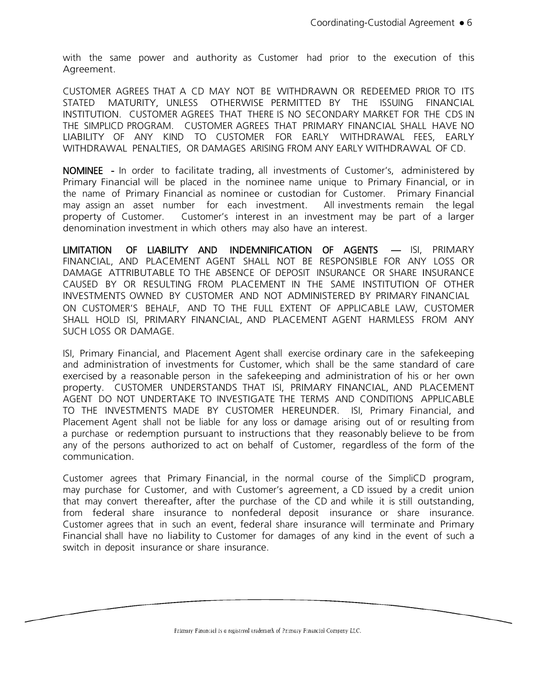with the same power and authority as Customer had prior to the execution of this Agreement.

CUSTOMER AGREES THAT A CD MAY NOT BE WITHDRAWN OR REDEEMED PRIOR TO ITS STATED MATURITY, UNLESS OTHERWISE PERMITTED BY THE ISSUING FINANCIAL INSTITUTION. CUSTOMER AGREES THAT THERE IS NO SECONDARY MARKET FOR THE CDS IN THE SIMPLICD PROGRAM. CUSTOMER AGREES THAT PRIMARY FINANCIAL SHALL HAVE NO LIABILITY OF ANY KIND TO CUSTOMER FOR EARLY WITHDRAWAL FEES, EARLY WITHDRAWAL PENALTIES, OR DAMAGES ARISING FROM ANY EARLY WITHDRAWAL OF CD.

NOMINEE - In order to facilitate trading, all investments of Customer's, administered by Primary Financial will be placed in the nominee name unique to Primary Financial, or in the name of Primary Financial as nominee or custodian for Customer. Primary Financial may assign an asset number for each investment. All investments remain the legal property of Customer. Customer's interest in an investment may be part of a larger denomination investment in which others may also have an interest.

LIMITATION OF LIABILITY AND INDEMNIFICATION OF AGENTS — ISI, PRIMARY FINANCIAL, AND PLACEMENT AGENT SHALL NOT BE RESPONSIBLE FOR ANY LOSS OR DAMAGE ATTRIBUTABLE TO THE ABSENCE OF DEPOSIT INSURANCE OR SHARE INSURANCE CAUSED BY OR RESULTING FROM PLACEMENT IN THE SAME INSTITUTION OF OTHER INVESTMENTS OWNED BY CUSTOMER AND NOT ADMINISTERED BY PRIMARY FINANCIAL ON CUSTOMER'S BEHALF, AND TO THE FULL EXTENT OF APPLICABLE LAW, CUSTOMER SHALL HOLD ISI, PRIMARY FINANCIAL, AND PLACEMENT AGENT HARMLESS FROM ANY SUCH LOSS OR DAMAGE.

ISI, Primary Financial, and Placement Agent shall exercise ordinary care in the safekeeping and administration of investments for Customer, which shall be the same standard of care exercised by a reasonable person in the safekeeping and administration of his or her own property. CUSTOMER UNDERSTANDS THAT ISI, PRIMARY FINANCIAL, AND PLACEMENT AGENT DO NOT UNDERTAKE TO INVESTIGATE THE TERMS AND CONDITIONS APPLICABLE TO THE INVESTMENTS MADE BY CUSTOMER HEREUNDER. ISI, Primary Financial, and Placement Agent shall not be liable for any loss or damage arising out of or resulting from a purchase or redemption pursuant to instructions that they reasonably believe to be from any of the persons authorized to act on behalf of Customer, regardless of the form of the communication.

Customer agrees that Primary Financial, in the normal course of the SimpliCD program, may purchase for Customer, and with Customer's agreement, a CD issued by a credit union that may convert thereafter, after the purchase of the CD and while it is still outstanding, from federal share insurance to nonfederal deposit insurance or share insurance. Customer agrees that in such an event, federal share insurance will terminate and Primary Financial shall have no liability to Customer for damages of any kind in the event of such a switch in deposit insurance or share insurance.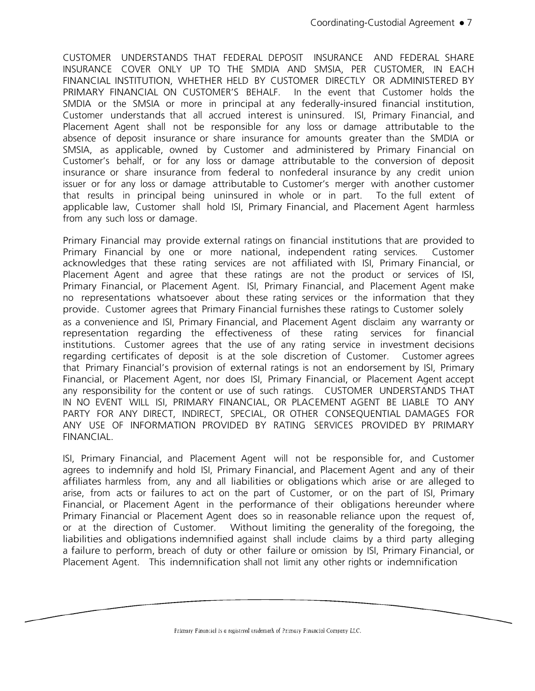CUSTOMER UNDERSTANDS THAT FEDERAL DEPOSIT INSURANCE AND FEDERAL SHARE INSURANCE COVER ONLY UP TO THE SMDIA AND SMSIA, PER CUSTOMER, IN EACH FINANCIAL INSTITUTION, WHETHER HELD BY CUSTOMER DIRECTLY OR ADMINISTERED BY PRIMARY FINANCIAL ON CUSTOMER'S BEHALF. In the event that Customer holds the SMDIA or the SMSIA or more in principal at any federally-insured financial institution, Customer understands that all accrued interest is uninsured. ISI, Primary Financial, and Placement Agent shall not be responsible for any loss or damage attributable to the absence of deposit insurance or share insurance for amounts greater than the SMDIA or SMSIA, as applicable, owned by Customer and administered by Primary Financial on Customer's behalf, or for any loss or damage attributable to the conversion of deposit insurance or share insurance from federal to nonfederal insurance by any credit union issuer or for any loss or damage attributable to Customer's merger with another customer that results in principal being uninsured in whole or in part. To the full extent of applicable law, Customer shall hold ISI, Primary Financial, and Placement Agent harmless from any such loss or damage.

Primary Financial may provide external ratings on financial institutions that are provided to Primary Financial by one or more national, independent rating services. Customer acknowledges that these rating services are not affiliated with ISI, Primary Financial, or Placement Agent and agree that these ratings are not the product or services of ISI, Primary Financial, or Placement Agent. ISI, Primary Financial, and Placement Agent make no representations whatsoever about these rating services or the information that they provide. Customer agrees that Primary Financial furnishes these ratings to Customer solely as a convenience and ISI, Primary Financial, and Placement Agent disclaim any warranty or representation regarding the effectiveness of these rating services for financial institutions. Customer agrees that the use of any rating service in investment decisions regarding certificates of deposit is at the sole discretion of Customer. Customer agrees that Primary Financial's provision of external ratings is not an endorsement by ISI, Primary Financial, or Placement Agent, nor does ISI, Primary Financial, or Placement Agent accept any responsibility for the content or use of such ratings. CUSTOMER UNDERSTANDS THAT IN NO EVENT WILL ISI, PRIMARY FINANCIAL, OR PLACEMENT AGENT BE LIABLE TO ANY PARTY FOR ANY DIRECT, INDIRECT, SPECIAL, OR OTHER CONSEQUENTIAL DAMAGES FOR ANY USE OF INFORMATION PROVIDED BY RATING SERVICES PROVIDED BY PRIMARY FINANCIAL.

ISI, Primary Financial, and Placement Agent will not be responsible for, and Customer agrees to indemnify and hold ISI, Primary Financial, and Placement Agent and any of their affiliates harmless from, any and all liabilities or obligations which arise or are alleged to arise, from acts or failures to act on the part of Customer, or on the part of ISI, Primary Financial, or Placement Agent in the performance of their obligations hereunder where Primary Financial or Placement Agent does so in reasonable reliance upon the request of, or at the direction of Customer. Without limiting the generality of the foregoing, the liabilities and obligations indemnified against shall include claims by a third party alleging a failure to perform, breach of duty or other failure or omission by ISI, Primary Financial, or Placement Agent. This indemnification shall not limit any other rights or indemnification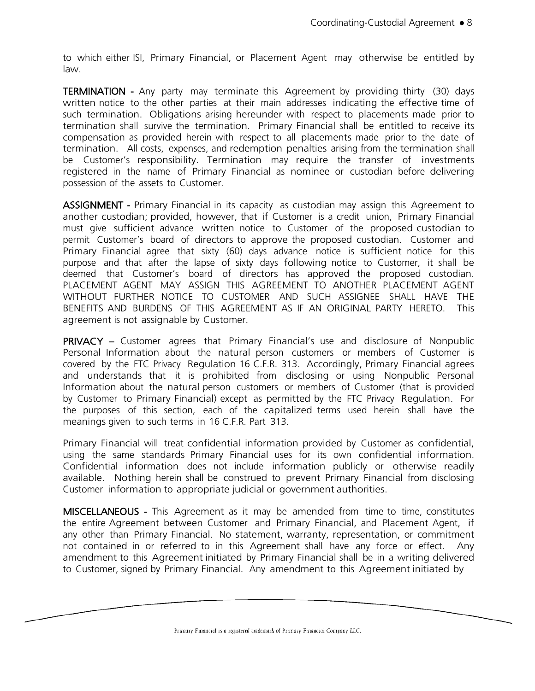to which either ISI, Primary Financial, or Placement Agent may otherwise be entitled by law.

TERMINATION - Any party may terminate this Agreement by providing thirty (30) days written notice to the other parties at their main addresses indicating the effective time of such termination. Obligations arising hereunder with respect to placements made prior to termination shall survive the termination. Primary Financial shall be entitled to receive its compensation as provided herein with respect to all placements made prior to the date of termination. All costs, expenses, and redemption penalties arising from the termination shall be Customer's responsibility. Termination may require the transfer of investments registered in the name of Primary Financial as nominee or custodian before delivering possession of the assets to Customer.

ASSIGNMENT - Primary Financial in its capacity as custodian may assign this Agreement to another custodian; provided, however, that if Customer is a credit union, Primary Financial must give sufficient advance written notice to Customer of the proposed custodian to permit Customer's board of directors to approve the proposed custodian. Customer and Primary Financial agree that sixty (60) days advance notice is sufficient notice for this purpose and that after the lapse of sixty days following notice to Customer, it shall be deemed that Customer's board of directors has approved the proposed custodian. PLACEMENT AGENT MAY ASSIGN THIS AGREEMENT TO ANOTHER PLACEMENT AGENT WITHOUT FURTHER NOTICE TO CUSTOMER AND SUCH ASSIGNEE SHALL HAVE THE BENEFITS AND BURDENS OF THIS AGREEMENT AS IF AN ORIGINAL PARTY HERETO. This agreement is not assignable by Customer.

PRIVACY – Customer agrees that Primary Financial's use and disclosure of Nonpublic Personal Information about the natural person customers or members of Customer is covered by the FTC Privacy Regulation 16 C.F.R. 313. Accordingly, Primary Financial agrees and understands that it is prohibited from disclosing or using Nonpublic Personal Information about the natural person customers or members of Customer (that is provided by Customer to Primary Financial) except as permitted by the FTC Privacy Regulation. For the purposes of this section, each of the capitalized terms used herein shall have the meanings given to such terms in 16 C.F.R. Part 313.

Primary Financial will treat confidential information provided by Customer as confidential, using the same standards Primary Financial uses for its own confidential information. Confidential information does not include information publicly or otherwise readily available. Nothing herein shall be construed to prevent Primary Financial from disclosing Customer information to appropriate judicial or government authorities.

MISCELLANEOUS - This Agreement as it may be amended from time to time, constitutes the entire Agreement between Customer and Primary Financial, and Placement Agent, if any other than Primary Financial. No statement, warranty, representation, or commitment not contained in or referred to in this Agreement shall have any force or effect. Any amendment to this Agreement initiated by Primary Financial shall be in a writing delivered to Customer, signed by Primary Financial. Any amendment to this Agreement initiated by